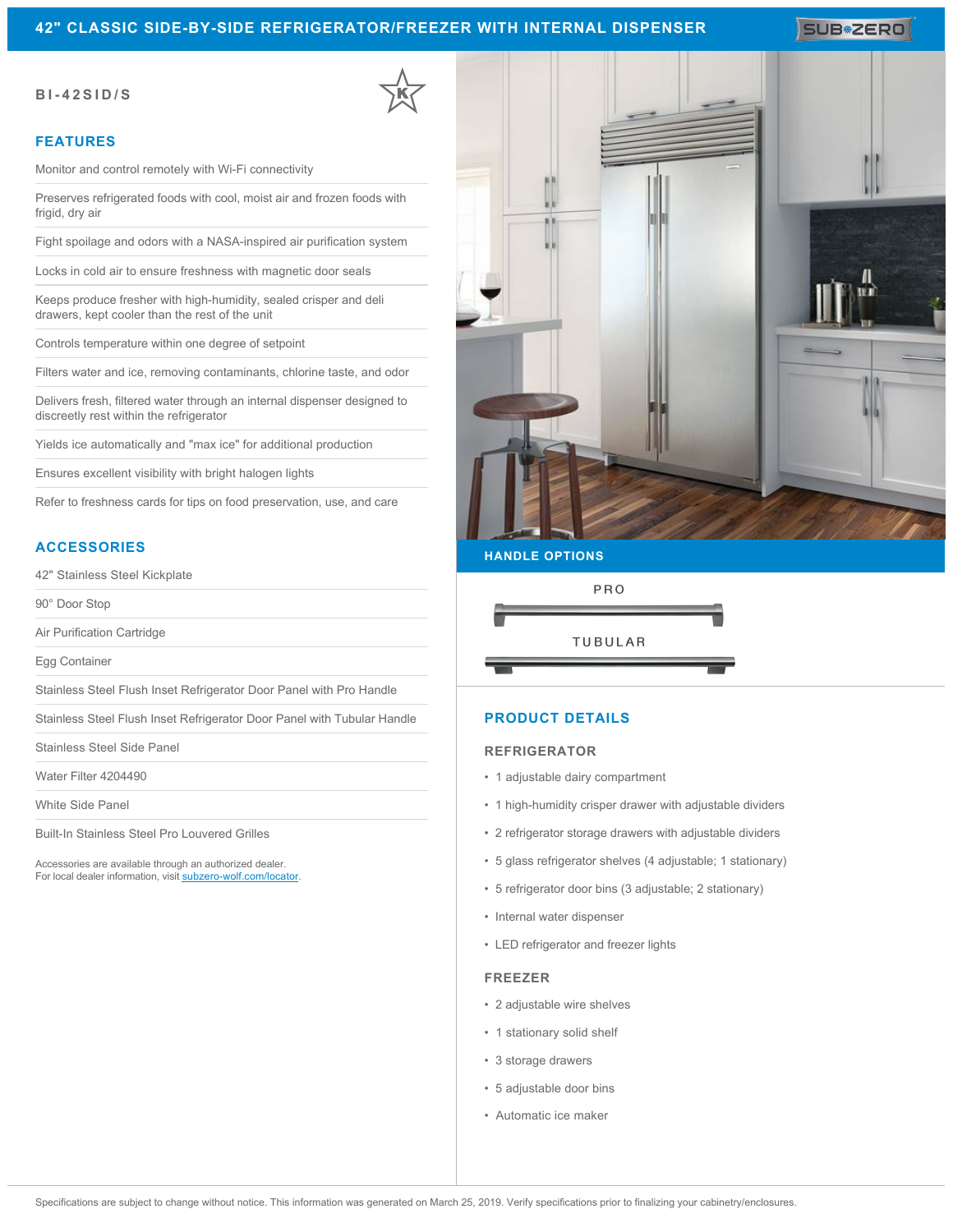## **42" CLASSIC SIDE-BY-SIDE REFRIGERATOR/FREEZER WITH INTERNAL DISPENSER**

SUB<sup>\*</sup>ZERO

#### **BI-42SID/S**

### **FEATURES**

Monitor and control remotely with Wi-Fi connectivity

Preserves refrigerated foods with cool, moist air and frozen foods with frigid, dry air

Fight spoilage and odors with a NASA-inspired air purification system

Locks in cold air to ensure freshness with magnetic door seals

Keeps produce fresher with high-humidity, sealed crisper and deli drawers, kept cooler than the rest of the unit

Controls temperature within one degree of setpoint

Filters water and ice, removing contaminants, chlorine taste, and odor

Delivers fresh, filtered water through an internal dispenser designed to discreetly rest within the refrigerator

Yields ice automatically and "max ice" for additional production

Ensures excellent visibility with bright halogen lights

Refer to freshness cards for tips on food preservation, use, and care

## **ACCESSORIES**

42" Stainless Steel Kickplate

90° Door Stop

Air Purification Cartridge

Egg Container

Stainless Steel Flush Inset Refrigerator Door Panel with Pro Handle

Stainless Steel Flush Inset Refrigerator Door Panel with Tubular Handle

Stainless Steel Side Panel

Water Filter 4204490

White Side Panel

Built-In Stainless Steel Pro Louvered Grilles

Accessories are available through an authorized dealer. For local dealer information, visit [subzero-wolf.com/locator.](http://www.subzero-wolf.com/locator)



#### **HANDLE OPTIONS**



### **PRODUCT DETAILS**

#### **REFRIGERATOR**

- 1 adjustable dairy compartment
- 1 high-humidity crisper drawer with adjustable dividers
- 2 refrigerator storage drawers with adjustable dividers
- 5 glass refrigerator shelves (4 adjustable; 1 stationary)
- 5 refrigerator door bins (3 adjustable; 2 stationary)
- Internal water dispenser
- LED refrigerator and freezer lights

#### **FREEZER**

- 2 adjustable wire shelves
- 1 stationary solid shelf
- 3 storage drawers
- 5 adjustable door bins
- Automatic ice maker